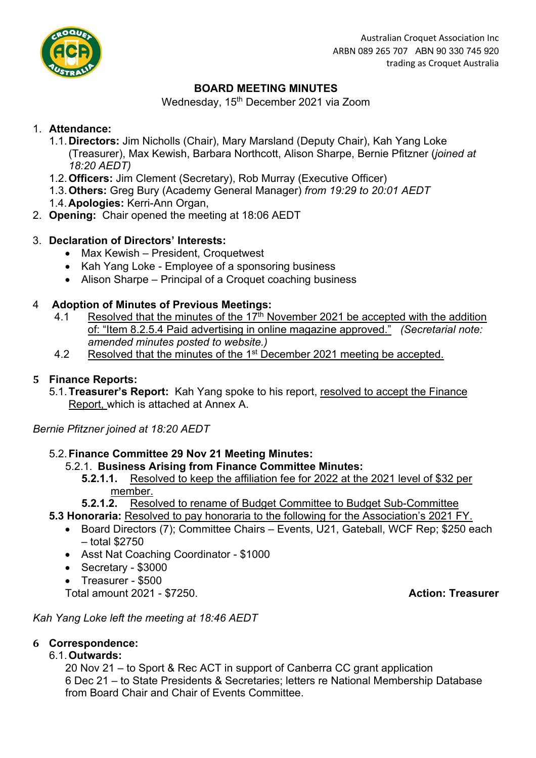

## **BOARD MEETING MINUTES**

Wednesday, 15<sup>th</sup> December 2021 via Zoom

## 1. **Attendance:**

- 1.1.**Directors:** Jim Nicholls (Chair), Mary Marsland (Deputy Chair), Kah Yang Loke (Treasurer), Max Kewish, Barbara Northcott, Alison Sharpe, Bernie Pfitzner (*joined at 18:20 AEDT)*
- 1.2.**Officers:** Jim Clement (Secretary), Rob Murray (Executive Officer)
- 1.3.**Others:** Greg Bury (Academy General Manager) *from 19:29 to 20:01 AEDT*
- 1.4.**Apologies:** Kerri-Ann Organ,
- 2. **Opening:** Chair opened the meeting at 18:06 AEDT

## 3. **Declaration of Directors' Interests:**

- Max Kewish President, Croquetwest
- Kah Yang Loke Employee of a sponsoring business
- Alison Sharpe Principal of a Croquet coaching business

## 4 **Adoption of Minutes of Previous Meetings:**

- 4.1 Resolved that the minutes of the 17<sup>th</sup> November 2021 be accepted with the addition of: "Item 8.2.5.4 Paid advertising in online magazine approved." *(Secretarial note: amended minutes posted to website.)*
- 4.2 Resolved that the minutes of the 1<sup>st</sup> December 2021 meeting be accepted.

## **5 Finance Reports:**

5.1.**Treasurer's Report:** Kah Yang spoke to his report, resolved to accept the Finance Report, which is attached at Annex A.

*Bernie Pfitzner joined at 18:20 AEDT*

### 5.2.**Finance Committee 29 Nov 21 Meeting Minutes:**

### 5.2.1. **Business Arising from Finance Committee Minutes:**

- **5.2.1.1.** Resolved to keep the affiliation fee for 2022 at the 2021 level of \$32 per member.
- **5.2.1.2.** Resolved to rename of Budget Committee to Budget Sub-Committee

**5.3 Honoraria:** Resolved to pay honoraria to the following for the Association's 2021 FY.

- Board Directors (7); Committee Chairs Events, U21, Gateball, WCF Rep; \$250 each – total \$2750
- Asst Nat Coaching Coordinator \$1000
- Secretary \$3000
- Treasurer \$500

Total amount 2021 - \$7250. **Action: Treasurer**

*Kah Yang Loke left the meeting at 18:46 AEDT*

### **6 Correspondence:**

### 6.1.**Outwards:**

20 Nov 21 – to Sport & Rec ACT in support of Canberra CC grant application 6 Dec 21 – to State Presidents & Secretaries; letters re National Membership Database from Board Chair and Chair of Events Committee.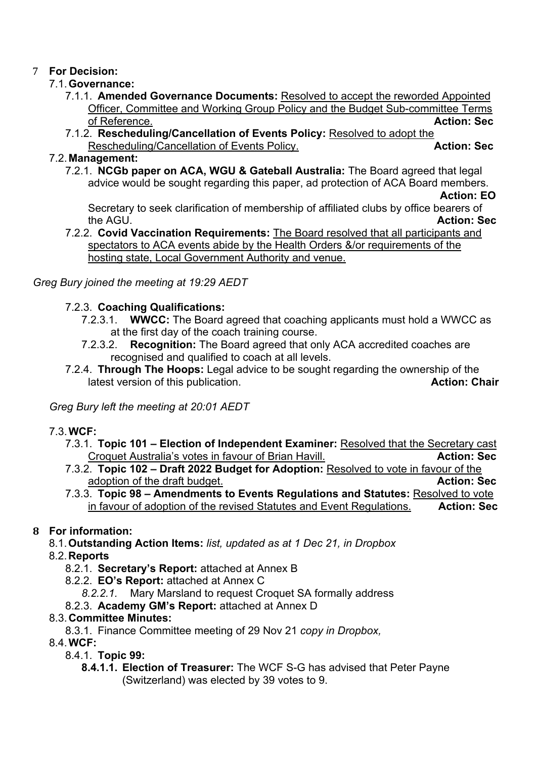# 7 **For Decision:**

# 7.1.**Governance:**

- 7.1.1. **Amended Governance Documents:** Resolved to accept the reworded Appointed Officer, Committee and Working Group Policy and the Budget Sub-committee Terms of Reference. **Action: Sec**
- 7.1.2. **Rescheduling/Cancellation of Events Policy:** Resolved to adopt the Rescheduling/Cancellation of Events Policy. **Action: Sec** Action: Sec

## 7.2.**Management:**

7.2.1. **NCGb paper on ACA, WGU & Gateball Australia:** The Board agreed that legal advice would be sought regarding this paper, ad protection of ACA Board members.

#### **Action: EO**

Secretary to seek clarification of membership of affiliated clubs by office bearers of the AGU. **Action: Sec**

7.2.2. **Covid Vaccination Requirements:** The Board resolved that all participants and spectators to ACA events abide by the Health Orders &/or requirements of the hosting state, Local Government Authority and venue.

*Greg Bury joined the meeting at 19:29 AEDT*

## 7.2.3. **Coaching Qualifications:**

- 7.2.3.1. **WWCC:** The Board agreed that coaching applicants must hold a WWCC as at the first day of the coach training course.
- 7.2.3.2. **Recognition:** The Board agreed that only ACA accredited coaches are recognised and qualified to coach at all levels.
- 7.2.4. **Through The Hoops:** Legal advice to be sought regarding the ownership of the latest version of this publication. **Action: Chair**

*Greg Bury left the meeting at 20:01 AEDT*

## 7.3.**WCF:**

- 7.3.1. **Topic 101 – Election of Independent Examiner:** Resolved that the Secretary cast Croquet Australia's votes in favour of Brian Havill. **Action: Sec** Action: Sec
- 7.3.2. **Topic 102 – Draft 2022 Budget for Adoption:** Resolved to vote in favour of the adoption of the draft budget. **Action: Sec**
- 7.3.3. **Topic 98 – Amendments to Events Regulations and Statutes:** Resolved to vote in favour of adoption of the revised Statutes and Event Regulations. **Action: Sec**

## **8 For information:**

- 8.1.**Outstanding Action Items:** *list, updated as at 1 Dec 21, in Dropbox*
- 8.2.**Reports**
	- 8.2.1. **Secretary's Report:** attached at Annex B
	- 8.2.2. **EO's Report:** attached at Annex C
		- *8.2.2.1.* Mary Marsland to request Croquet SA formally address
	- 8.2.3. **Academy GM's Report:** attached at Annex D

## 8.3.**Committee Minutes:**

8.3.1. Finance Committee meeting of 29 Nov 21 *copy in Dropbox,* 

## 8.4.**WCF:**

- 8.4.1. **Topic 99:** 
	- **8.4.1.1. Election of Treasurer:** The WCF S-G has advised that Peter Payne (Switzerland) was elected by 39 votes to 9.